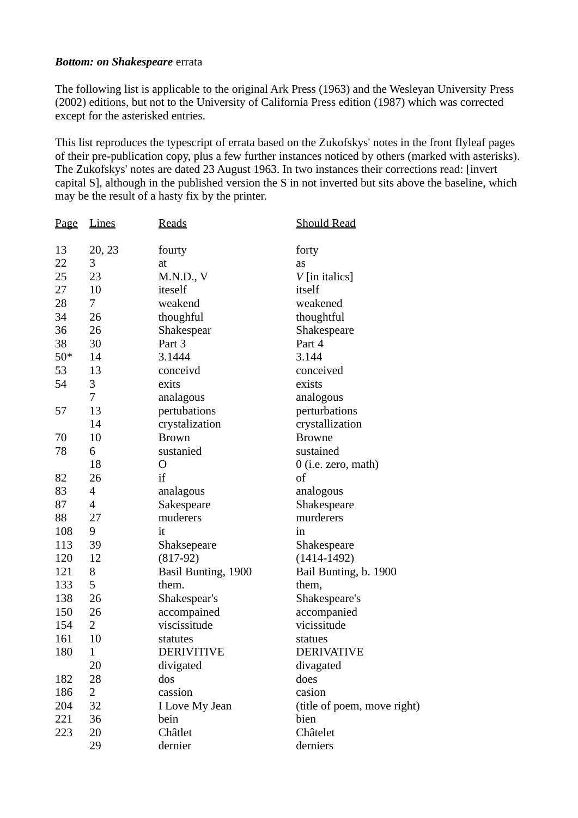## **Bottom: on Shakespeare errata**

The following list is applicable to the original Ark Press (1963) and the Wesleyan University Press (2002) editions, but not to the University of California Press edition (1987) which was corrected except for the asterisked entries.

This list reproduces the typescript of errata based on the Zukofskys' notes in the front flyleaf pages of their pre-publication copy, plus a few further instances noticed by others (marked with asterisks). The Zukofskys' notes are dated 23 August 1963. In two instances their corrections read: [invert] capital S], although in the published version the S in not inverted but sits above the baseline, which may be the result of a hasty fix by the printer.

| Page  | <b>Lines</b>             | <b>Reads</b>        | <b>Should Read</b>          |
|-------|--------------------------|---------------------|-----------------------------|
| 13    | 20, 23                   | fourty              | forty                       |
| 22    | 3                        | at                  | as                          |
| 25    | 23                       | M.N.D., V           | $V$ [in italics]            |
| 27    | 10                       | iteself             | itself                      |
| 28    | 7                        | weakend             | weakened                    |
| 34    | 26                       | thoughful           | thoughtful                  |
| 36    | 26                       | Shakespear          | Shakespeare                 |
| 38    | 30                       | Part 3              | Part 4                      |
| $50*$ | 14                       | 3.1444              | 3.144                       |
| 53    | 13                       | conceivd            | conceived                   |
| 54    | 3                        | exits               | exists                      |
|       | 7                        | analagous           | analogous                   |
| 57    | 13                       | pertubations        | perturbations               |
|       | 14                       | crystalization      | crystallization             |
| 70    | 10                       | <b>Brown</b>        | <b>Browne</b>               |
| 78    | 6                        | sustanied           | sustained                   |
|       | 18                       | O                   | $0$ (i.e. zero, math)       |
| 82    | 26                       | if                  | of                          |
| 83    | $\overline{4}$           | analagous           | analogous                   |
| 87    | $\overline{\mathcal{A}}$ | Sakespeare          | Shakespeare                 |
| 88    | 27                       | muderers            | murderers                   |
| 108   | 9                        | it                  | in                          |
| 113   | 39                       | Shaksepeare         | Shakespeare                 |
| 120   | 12                       | $(817-92)$          | $(1414 - 1492)$             |
| 121   | 8                        | Basil Bunting, 1900 | Bail Bunting, b. 1900       |
| 133   | 5                        | them.               | them,                       |
| 138   | 26                       | Shakespear's        | Shakespeare's               |
| 150   | 26                       | accompained         | accompanied                 |
| 154   | $\overline{2}$           | viscissitude        | vicissitude                 |
| 161   | 10                       | statutes            | statues                     |
| 180   | $\mathbf{1}$             | <b>DERIVITIVE</b>   | DERIVATIVE                  |
|       | 20                       | divigated           | divagated                   |
| 182   | 28                       | dos                 | does                        |
| 186   | 2                        | cassion             | casion                      |
| 204   | 32                       | I Love My Jean      | (title of poem, move right) |
| 221   | 36                       | bein                | bien                        |
| 223   | 20                       | Châtlet             | Châtelet                    |
|       | 29                       | dernier             | derniers                    |